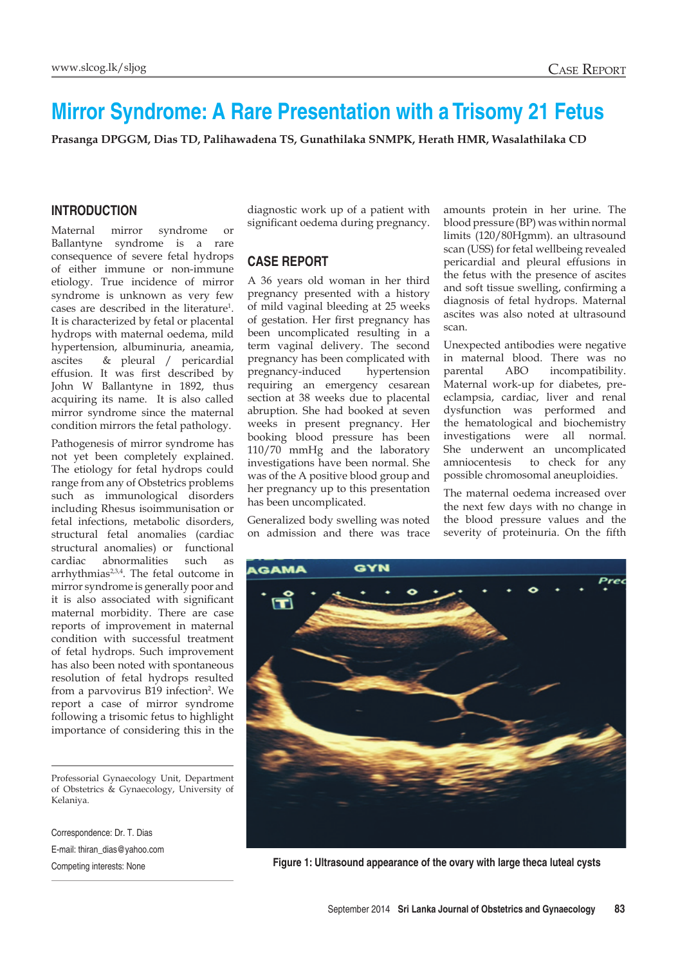# **Mirror Syndrome: A Rare Presentation with a Trisomy 21 Fetus**

**Prasanga DPGGM, Dias TD, Palihawadena TS, Gunathilaka SNMPK, Herath HMR, Wasalathilaka CD** 

## **Introduction**

Maternal mirror syndrome or Ballantyne syndrome is a rare consequence of severe fetal hydrops of either immune or non-immune etiology. True incidence of mirror syndrome is unknown as very few cases are described in the literature<sup>1</sup> . It is characterized by fetal or placental hydrops with maternal oedema, mild hypertension, albuminuria, aneamia, ascites & pleural / pericardial effusion. It was first described by John W Ballantyne in 1892, thus acquiring its name. It is also called mirror syndrome since the maternal condition mirrors the fetal pathology.

Pathogenesis of mirror syndrome has not yet been completely explained. The etiology for fetal hydrops could range from any of Obstetrics problems such as immunological disorders including Rhesus isoimmunisation or fetal infections, metabolic disorders, structural fetal anomalies (cardiac structural anomalies) or functional cardiac abnormalities such as arrhythmias2,3,4. The fetal outcome in mirror syndrome is generally poor and it is also associated with significant maternal morbidity. There are case reports of improvement in maternal condition with successful treatment of fetal hydrops. Such improvement has also been noted with spontaneous resolution of fetal hydrops resulted from a parvovirus B19 infection<sup>2</sup>. We report a case of mirror syndrome following a trisomic fetus to highlight importance of considering this in the

Professorial Gynaecology Unit, Department of Obstetrics & Gynaecology, University of Kelaniya.

Correspondence: Dr. T. Dias E-mail: thiran\_dias@yahoo.com diagnostic work up of a patient with significant oedema during pregnancy.

## **Case report**

A 36 years old woman in her third pregnancy presented with a history of mild vaginal bleeding at 25 weeks of gestation. Her first pregnancy has been uncomplicated resulting in a term vaginal delivery. The second pregnancy has been complicated with pregnancy-induced hypertension requiring an emergency cesarean section at 38 weeks due to placental abruption. She had booked at seven weeks in present pregnancy. Her booking blood pressure has been 110/70 mmHg and the laboratory investigations have been normal. She was of the A positive blood group and her pregnancy up to this presentation has been uncomplicated.

Generalized body swelling was noted on admission and there was trace amounts protein in her urine. The blood pressure (BP) was within normal limits (120/80Hgmm). an ultrasound scan (USS) for fetal wellbeing revealed pericardial and pleural effusions in the fetus with the presence of ascites and soft tissue swelling, confirming a diagnosis of fetal hydrops. Maternal ascites was also noted at ultrasound scan.

Unexpected antibodies were negative in maternal blood. There was no parental ABO incompatibility. Maternal work-up for diabetes, preeclampsia, cardiac, liver and renal dysfunction was performed and the hematological and biochemistry investigations were all normal. She underwent an uncomplicated amniocentesis to check for any possible chromosomal aneuploidies.

The maternal oedema increased over the next few days with no change in the blood pressure values and the severity of proteinuria. On the fifth



Competing interests: None **Figure 1: Ultrasound appearance of the ovary with large theca luteal cysts**